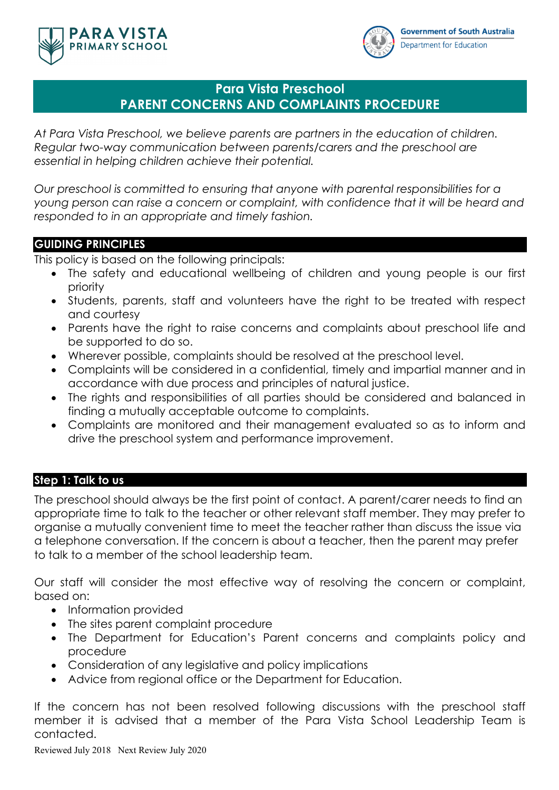



# **Para Vista Preschool PARENT CONCERNS AND COMPLAINTS PROCEDURE**

*At Para Vista Preschool, we believe parents are partners in the education of children. Regular two-way communication between parents/carers and the preschool are essential in helping children achieve their potential.*

*Our preschool is committed to ensuring that anyone with parental responsibilities for a young person can raise a concern or complaint, with confidence that it will be heard and responded to in an appropriate and timely fashion.*

## **GUIDING PRINCIPLES**

This policy is based on the following principals:

- The safety and educational wellbeing of children and young people is our first priority
- Students, parents, staff and volunteers have the right to be treated with respect and courtesy
- Parents have the right to raise concerns and complaints about preschool life and be supported to do so.
- Wherever possible, complaints should be resolved at the preschool level.
- Complaints will be considered in a confidential, timely and impartial manner and in accordance with due process and principles of natural justice.
- The rights and responsibilities of all parties should be considered and balanced in finding a mutually acceptable outcome to complaints.
- Complaints are monitored and their management evaluated so as to inform and drive the preschool system and performance improvement.

## **Step 1: Talk to us**

The preschool should always be the first point of contact. A parent/carer needs to find an appropriate time to talk to the teacher or other relevant staff member. They may prefer to organise a mutually convenient time to meet the teacher rather than discuss the issue via a telephone conversation. If the concern is about a teacher, then the parent may prefer to talk to a member of the school leadership team.

Our staff will consider the most effective way of resolving the concern or complaint, based on:

- Information provided
- The sites parent complaint procedure
- The Department for Education's Parent concerns and complaints policy and procedure
- Consideration of any legislative and policy implications
- Advice from regional office or the Department for Education.

If the concern has not been resolved following discussions with the preschool staff member it is advised that a member of the Para Vista School Leadership Team is contacted.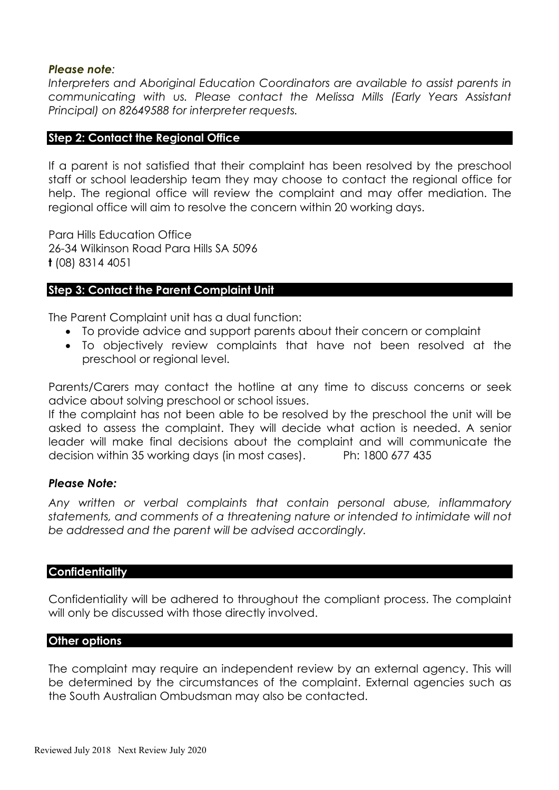## *Please note:*

Interpreters and Aboriginal Education Coordinators are available to assist parents in *communicating with us. Please contact the Melissa Mills (Early Years Assistant Principal) on 82649588 for interpreter requests.*

## **Step 2: Contact the Regional Office**

If a parent is not satisfied that their complaint has been resolved by the preschool staff or school leadership team they may choose to contact the regional office for help. The regional office will review the complaint and may offer mediation. The regional office will aim to resolve the concern within 20 working days.

Para Hills Education Office 26-34 Wilkinson Road Para Hills SA 5096 **t** (08) 8314 4051

## **Step 3: Contact the Parent Complaint Unit**

The Parent Complaint unit has a dual function:

- To provide advice and support parents about their concern or complaint
- To objectively review complaints that have not been resolved at the preschool or regional level.

Parents/Carers may contact the hotline at any time to discuss concerns or seek advice about solving preschool or school issues.

If the complaint has not been able to be resolved by the preschool the unit will be asked to assess the complaint. They will decide what action is needed. A senior leader will make final decisions about the complaint and will communicate the decision within 35 working days (in most cases). Ph: 1800 677 435

### *Please Note:*

*Any written or verbal complaints that contain personal abuse, inflammatory statements, and comments of a threatening nature or intended to intimidate will not be addressed and the parent will be advised accordingly.* 

### **Confidentiality**

Confidentiality will be adhered to throughout the compliant process. The complaint will only be discussed with those directly involved.

### **Other options**

The complaint may require an independent review by an external agency. This will be determined by the circumstances of the complaint. External agencies such as the South Australian Ombudsman may also be contacted.